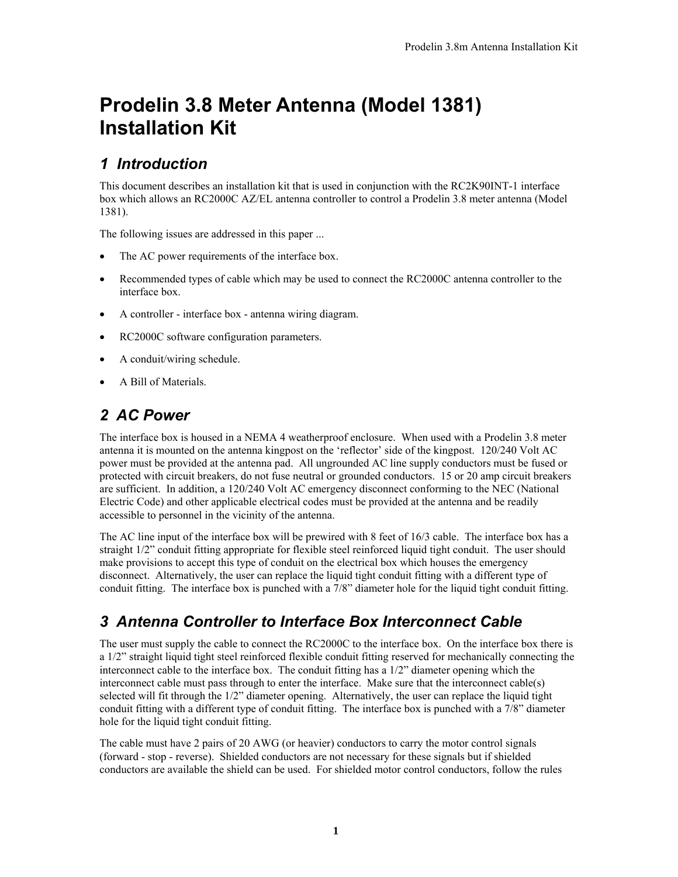# **Prodelin 3.8 Meter Antenna (Model 1381) Installation Kit**

### *1 Introduction*

This document describes an installation kit that is used in conjunction with the RC2K90INT-1 interface box which allows an RC2000C AZ/EL antenna controller to control a Prodelin 3.8 meter antenna (Model 1381).

The following issues are addressed in this paper ...

- The AC power requirements of the interface box.
- Recommended types of cable which may be used to connect the RC2000C antenna controller to the interface box.
- A controller interface box antenna wiring diagram.
- RC2000C software configuration parameters.
- A conduit/wiring schedule.
- A Bill of Materials.

# *2 AC Power*

The interface box is housed in a NEMA 4 weatherproof enclosure. When used with a Prodelin 3.8 meter antenna it is mounted on the antenna kingpost on the 'reflector' side of the kingpost. 120/240 Volt AC power must be provided at the antenna pad. All ungrounded AC line supply conductors must be fused or protected with circuit breakers, do not fuse neutral or grounded conductors. 15 or 20 amp circuit breakers are sufficient. In addition, a 120/240 Volt AC emergency disconnect conforming to the NEC (National Electric Code) and other applicable electrical codes must be provided at the antenna and be readily accessible to personnel in the vicinity of the antenna.

The AC line input of the interface box will be prewired with 8 feet of 16/3 cable. The interface box has a straight 1/2" conduit fitting appropriate for flexible steel reinforced liquid tight conduit. The user should make provisions to accept this type of conduit on the electrical box which houses the emergency disconnect. Alternatively, the user can replace the liquid tight conduit fitting with a different type of conduit fitting. The interface box is punched with a 7/8" diameter hole for the liquid tight conduit fitting.

# *3 Antenna Controller to Interface Box Interconnect Cable*

The user must supply the cable to connect the RC2000C to the interface box. On the interface box there is a 1/2" straight liquid tight steel reinforced flexible conduit fitting reserved for mechanically connecting the interconnect cable to the interface box. The conduit fitting has a  $1/2$ " diameter opening which the interconnect cable must pass through to enter the interface. Make sure that the interconnect cable(s) selected will fit through the 1/2" diameter opening. Alternatively, the user can replace the liquid tight conduit fitting with a different type of conduit fitting. The interface box is punched with a 7/8" diameter hole for the liquid tight conduit fitting.

The cable must have 2 pairs of 20 AWG (or heavier) conductors to carry the motor control signals (forward - stop - reverse). Shielded conductors are not necessary for these signals but if shielded conductors are available the shield can be used. For shielded motor control conductors, follow the rules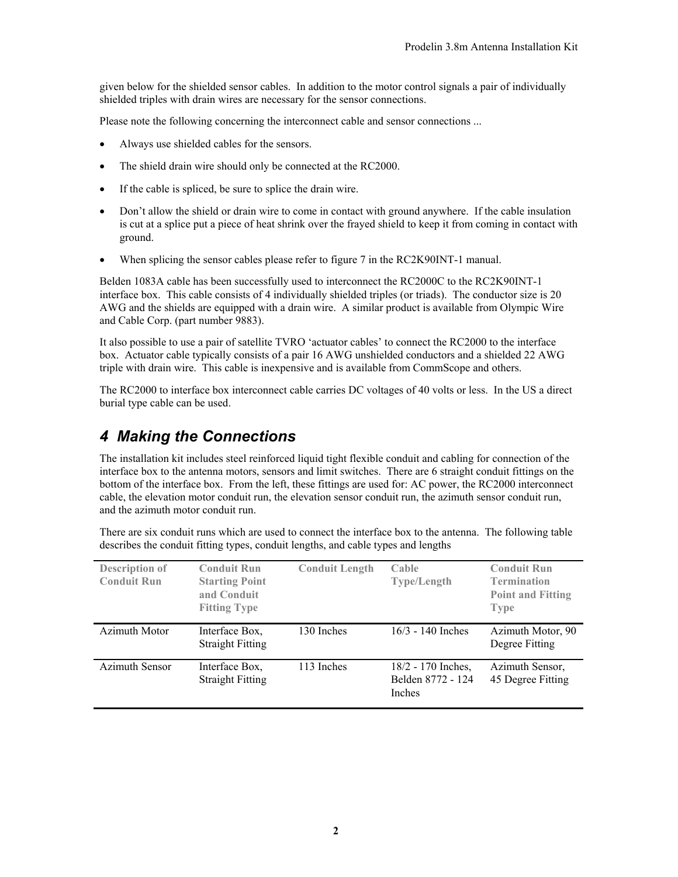given below for the shielded sensor cables. In addition to the motor control signals a pair of individually shielded triples with drain wires are necessary for the sensor connections.

Please note the following concerning the interconnect cable and sensor connections ...

- Always use shielded cables for the sensors.
- The shield drain wire should only be connected at the RC2000.
- If the cable is spliced, be sure to splice the drain wire.
- Don't allow the shield or drain wire to come in contact with ground anywhere. If the cable insulation is cut at a splice put a piece of heat shrink over the frayed shield to keep it from coming in contact with ground.
- When splicing the sensor cables please refer to figure 7 in the RC2K90INT-1 manual.

Belden 1083A cable has been successfully used to interconnect the RC2000C to the RC2K90INT-1 interface box. This cable consists of 4 individually shielded triples (or triads). The conductor size is 20 AWG and the shields are equipped with a drain wire. A similar product is available from Olympic Wire and Cable Corp. (part number 9883).

It also possible to use a pair of satellite TVRO 'actuator cables' to connect the RC2000 to the interface box. Actuator cable typically consists of a pair 16 AWG unshielded conductors and a shielded 22 AWG triple with drain wire. This cable is inexpensive and is available from CommScope and others.

The RC2000 to interface box interconnect cable carries DC voltages of 40 volts or less. In the US a direct burial type cable can be used.

#### *4 Making the Connections*

The installation kit includes steel reinforced liquid tight flexible conduit and cabling for connection of the interface box to the antenna motors, sensors and limit switches. There are 6 straight conduit fittings on the bottom of the interface box. From the left, these fittings are used for: AC power, the RC2000 interconnect cable, the elevation motor conduit run, the elevation sensor conduit run, the azimuth sensor conduit run, and the azimuth motor conduit run.

There are six conduit runs which are used to connect the interface box to the antenna. The following table describes the conduit fitting types, conduit lengths, and cable types and lengths

| <b>Description of</b><br><b>Conduit Run</b> | <b>Conduit Run</b><br><b>Starting Point</b><br>and Conduit<br><b>Fitting Type</b> | <b>Conduit Length</b> | Cable<br><b>Type/Length</b>                       | <b>Conduit Run</b><br><b>Termination</b><br><b>Point and Fitting</b><br><b>Type</b> |
|---------------------------------------------|-----------------------------------------------------------------------------------|-----------------------|---------------------------------------------------|-------------------------------------------------------------------------------------|
| Azimuth Motor                               | Interface Box,<br><b>Straight Fitting</b>                                         | 130 Inches            | $16/3 - 140$ Inches                               | Azimuth Motor, 90<br>Degree Fitting                                                 |
| <b>Azimuth Sensor</b>                       | Interface Box.<br><b>Straight Fitting</b>                                         | 113 Inches            | 18/2 - 170 Inches,<br>Belden 8772 - 124<br>Inches | Azimuth Sensor,<br>45 Degree Fitting                                                |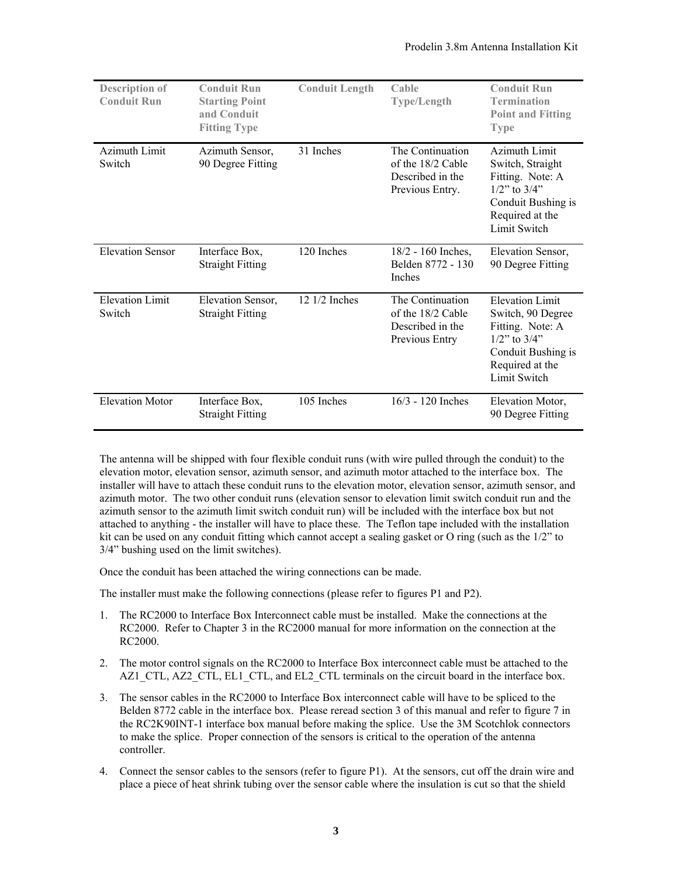| <b>Description of</b><br><b>Conduit Run</b> | <b>Conduit Run</b><br><b>Starting Point</b><br>and Conduit<br><b>Fitting Type</b> | <b>Conduit Length</b>   | Cable<br><b>Type/Length</b>                                                  | <b>Conduit Run</b><br><b>Termination</b><br><b>Point and Fitting</b><br><b>Type</b>                                                            |
|---------------------------------------------|-----------------------------------------------------------------------------------|-------------------------|------------------------------------------------------------------------------|------------------------------------------------------------------------------------------------------------------------------------------------|
| Azimuth Limit<br>Switch                     | Azimuth Sensor,<br>90 Degree Fitting                                              | 31 Inches               | The Continuation<br>of the 18/2 Cable<br>Described in the<br>Previous Entry. | Azimuth Limit<br>Switch, Straight<br>Fitting. Note: A<br>$1/2$ " to $3/4$ "<br>Conduit Bushing is<br>Required at the<br>Limit Switch           |
| <b>Elevation Sensor</b>                     | Interface Box,<br><b>Straight Fitting</b>                                         | 120 Inches              | $18/2 - 160$ Inches,<br>Belden 8772 - 130<br><b>Inches</b>                   | Elevation Sensor,<br>90 Degree Fitting                                                                                                         |
| <b>Elevation Limit</b><br>Switch            | Elevation Sensor,<br><b>Straight Fitting</b>                                      | $12 \frac{1}{2}$ Inches | The Continuation<br>of the 18/2 Cable<br>Described in the<br>Previous Entry  | <b>Elevation Limit</b><br>Switch, 90 Degree<br>Fitting. Note: A<br>$1/2$ " to $3/4$ "<br>Conduit Bushing is<br>Required at the<br>Limit Switch |
| <b>Elevation Motor</b>                      | Interface Box,<br><b>Straight Fitting</b>                                         | 105 Inches              | $16/3 - 120$ Inches                                                          | Elevation Motor,<br>90 Degree Fitting                                                                                                          |

The antenna will be shipped with four flexible conduit runs (with wire pulled through the conduit) to the elevation motor, elevation sensor, azimuth sensor, and azimuth motor attached to the interface box. The installer will have to attach these conduit runs to the elevation motor, elevation sensor, azimuth sensor, and azimuth motor. The two other conduit runs (elevation sensor to elevation limit switch conduit run and the azimuth sensor to the azimuth limit switch conduit run) will be included with the interface box but not attached to anything - the installer will have to place these. The Teflon tape included with the installation kit can be used on any conduit fitting which cannot accept a sealing gasket or O ring (such as the 1/2" to 3/4" bushing used on the limit switches).

Once the conduit has been attached the wiring connections can be made.

The installer must make the following connections (please refer to figures P1 and P2).

- 1. The RC2000 to Interface Box Interconnect cable must be installed. Make the connections at the RC2000. Refer to Chapter 3 in the RC2000 manual for more information on the connection at the RC2000.
- 2. The motor control signals on the RC2000 to Interface Box interconnect cable must be attached to the AZ1\_CTL, AZ2\_CTL, EL1\_CTL, and EL2\_CTL terminals on the circuit board in the interface box.
- 3. The sensor cables in the RC2000 to Interface Box interconnect cable will have to be spliced to the Belden 8772 cable in the interface box. Please reread section 3 of this manual and refer to figure 7 in the RC2K90INT-1 interface box manual before making the splice. Use the 3M Scotchlok connectors to make the splice. Proper connection of the sensors is critical to the operation of the antenna controller.
- 4. Connect the sensor cables to the sensors (refer to figure P1). At the sensors, cut off the drain wire and place a piece of heat shrink tubing over the sensor cable where the insulation is cut so that the shield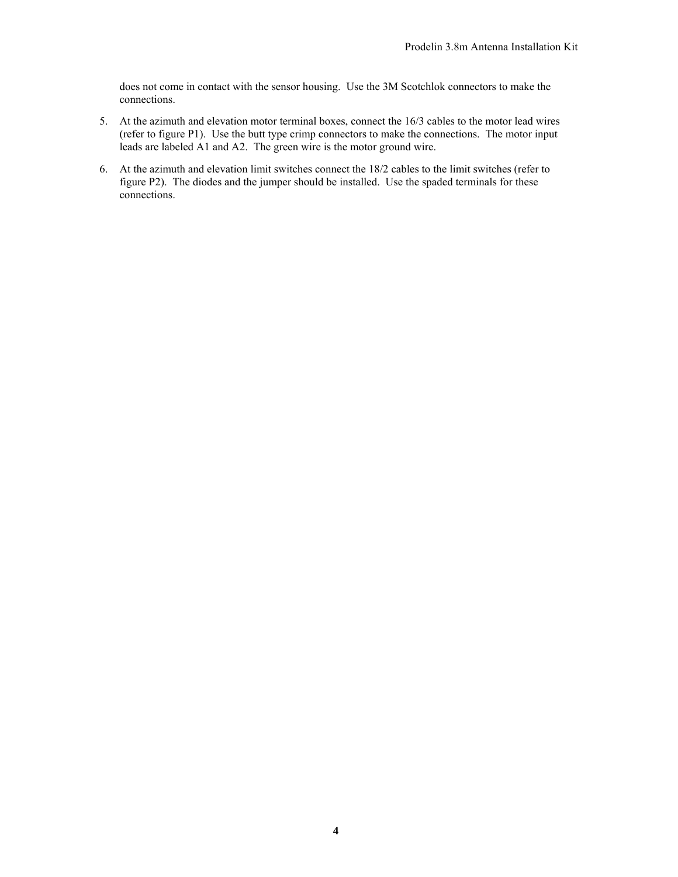does not come in contact with the sensor housing. Use the 3M Scotchlok connectors to make the connections.

- 5. At the azimuth and elevation motor terminal boxes, connect the 16/3 cables to the motor lead wires (refer to figure P1). Use the butt type crimp connectors to make the connections. The motor input leads are labeled A1 and A2. The green wire is the motor ground wire.
- 6. At the azimuth and elevation limit switches connect the 18/2 cables to the limit switches (refer to figure P2). The diodes and the jumper should be installed. Use the spaded terminals for these connections.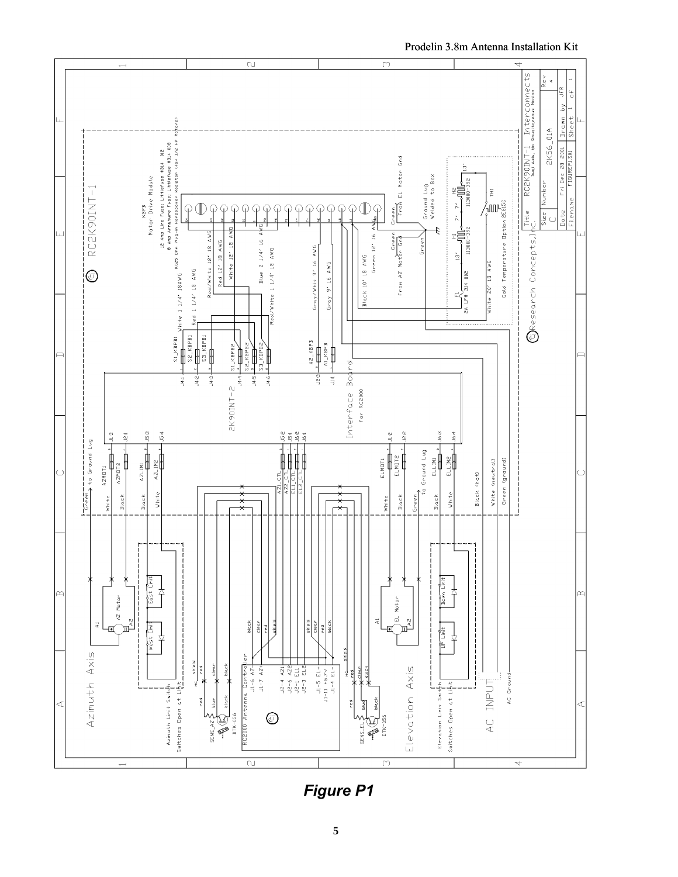

Prodelin 3.8m Antenna Installation Kit

**Figure P1**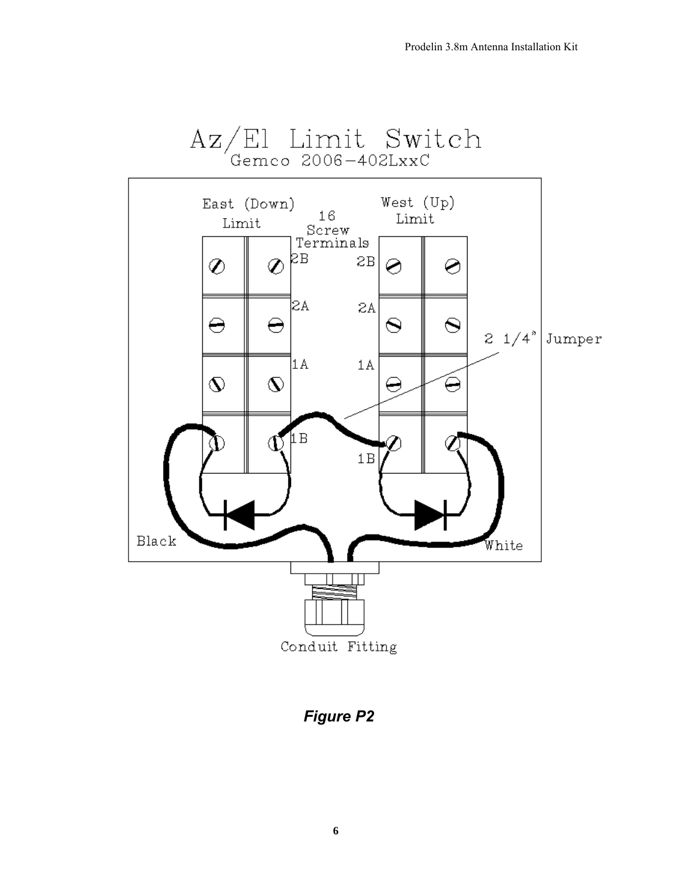

**Figure P2**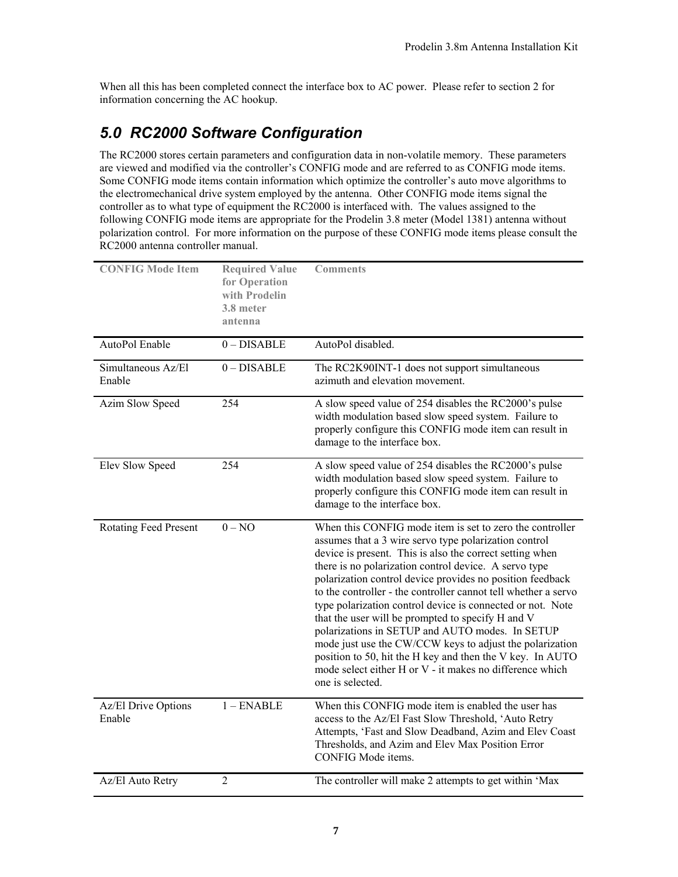When all this has been completed connect the interface box to AC power. Please refer to section 2 for information concerning the AC hookup.

# *5.0 RC2000 Software Configuration*

The RC2000 stores certain parameters and configuration data in non-volatile memory. These parameters are viewed and modified via the controller's CONFIG mode and are referred to as CONFIG mode items. Some CONFIG mode items contain information which optimize the controller's auto move algorithms to the electromechanical drive system employed by the antenna. Other CONFIG mode items signal the controller as to what type of equipment the RC2000 is interfaced with. The values assigned to the following CONFIG mode items are appropriate for the Prodelin 3.8 meter (Model 1381) antenna without polarization control. For more information on the purpose of these CONFIG mode items please consult the RC2000 antenna controller manual.

| <b>CONFIG Mode Item</b>       | <b>Required Value</b><br>for Operation<br>with Prodelin<br>3.8 meter<br>antenna | <b>Comments</b>                                                                                                                                                                                                                                                                                                                                                                                                                                                                                                                                                                                                                                                                                                                                      |
|-------------------------------|---------------------------------------------------------------------------------|------------------------------------------------------------------------------------------------------------------------------------------------------------------------------------------------------------------------------------------------------------------------------------------------------------------------------------------------------------------------------------------------------------------------------------------------------------------------------------------------------------------------------------------------------------------------------------------------------------------------------------------------------------------------------------------------------------------------------------------------------|
| AutoPol Enable                | $0$ – DISABLE                                                                   | AutoPol disabled.                                                                                                                                                                                                                                                                                                                                                                                                                                                                                                                                                                                                                                                                                                                                    |
| Simultaneous Az/El<br>Enable  | $0 - DISABLE$                                                                   | The RC2K90INT-1 does not support simultaneous<br>azimuth and elevation movement.                                                                                                                                                                                                                                                                                                                                                                                                                                                                                                                                                                                                                                                                     |
| Azim Slow Speed               | 254                                                                             | A slow speed value of 254 disables the RC2000's pulse<br>width modulation based slow speed system. Failure to<br>properly configure this CONFIG mode item can result in<br>damage to the interface box.                                                                                                                                                                                                                                                                                                                                                                                                                                                                                                                                              |
| Elev Slow Speed               | 254                                                                             | A slow speed value of 254 disables the RC2000's pulse<br>width modulation based slow speed system. Failure to<br>properly configure this CONFIG mode item can result in<br>damage to the interface box.                                                                                                                                                                                                                                                                                                                                                                                                                                                                                                                                              |
| <b>Rotating Feed Present</b>  | $0 - NO$                                                                        | When this CONFIG mode item is set to zero the controller<br>assumes that a 3 wire servo type polarization control<br>device is present. This is also the correct setting when<br>there is no polarization control device. A servo type<br>polarization control device provides no position feedback<br>to the controller - the controller cannot tell whether a servo<br>type polarization control device is connected or not. Note<br>that the user will be prompted to specify H and V<br>polarizations in SETUP and AUTO modes. In SETUP<br>mode just use the CW/CCW keys to adjust the polarization<br>position to 50, hit the H key and then the V key. In AUTO<br>mode select either H or V - it makes no difference which<br>one is selected. |
| Az/El Drive Options<br>Enable | $1 -$ ENABLE                                                                    | When this CONFIG mode item is enabled the user has<br>access to the Az/El Fast Slow Threshold, 'Auto Retry<br>Attempts, 'Fast and Slow Deadband, Azim and Elev Coast<br>Thresholds, and Azim and Elev Max Position Error<br>CONFIG Mode items.                                                                                                                                                                                                                                                                                                                                                                                                                                                                                                       |
| Az/El Auto Retry              | $\overline{2}$                                                                  | The controller will make 2 attempts to get within 'Max                                                                                                                                                                                                                                                                                                                                                                                                                                                                                                                                                                                                                                                                                               |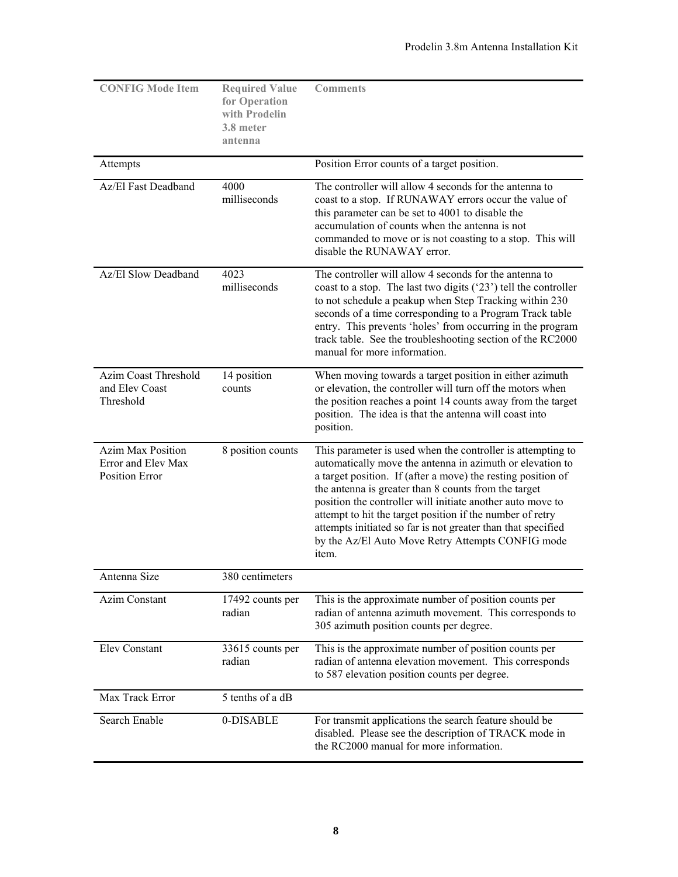| <b>CONFIG Mode Item</b>                                          | <b>Required Value</b><br>for Operation<br>with Prodelin<br>3.8 meter<br>antenna | <b>Comments</b>                                                                                                                                                                                                                                                                                                                                                                                                                                                                                           |
|------------------------------------------------------------------|---------------------------------------------------------------------------------|-----------------------------------------------------------------------------------------------------------------------------------------------------------------------------------------------------------------------------------------------------------------------------------------------------------------------------------------------------------------------------------------------------------------------------------------------------------------------------------------------------------|
| Attempts                                                         |                                                                                 | Position Error counts of a target position.                                                                                                                                                                                                                                                                                                                                                                                                                                                               |
| Az/El Fast Deadband                                              | 4000<br>milliseconds                                                            | The controller will allow 4 seconds for the antenna to<br>coast to a stop. If RUNAWAY errors occur the value of<br>this parameter can be set to 4001 to disable the<br>accumulation of counts when the antenna is not<br>commanded to move or is not coasting to a stop. This will<br>disable the RUNAWAY error.                                                                                                                                                                                          |
| Az/El Slow Deadband                                              | 4023<br>milliseconds                                                            | The controller will allow 4 seconds for the antenna to<br>coast to a stop. The last two digits ('23') tell the controller<br>to not schedule a peakup when Step Tracking within 230<br>seconds of a time corresponding to a Program Track table<br>entry. This prevents 'holes' from occurring in the program<br>track table. See the troubleshooting section of the RC2000<br>manual for more information.                                                                                               |
| Azim Coast Threshold<br>and Elev Coast<br>Threshold              | 14 position<br>counts                                                           | When moving towards a target position in either azimuth<br>or elevation, the controller will turn off the motors when<br>the position reaches a point 14 counts away from the target<br>position. The idea is that the antenna will coast into<br>position.                                                                                                                                                                                                                                               |
| <b>Azim Max Position</b><br>Error and Elev Max<br>Position Error | 8 position counts                                                               | This parameter is used when the controller is attempting to<br>automatically move the antenna in azimuth or elevation to<br>a target position. If (after a move) the resting position of<br>the antenna is greater than 8 counts from the target<br>position the controller will initiate another auto move to<br>attempt to hit the target position if the number of retry<br>attempts initiated so far is not greater than that specified<br>by the Az/El Auto Move Retry Attempts CONFIG mode<br>item. |
| Antenna Size                                                     | 380 centimeters                                                                 |                                                                                                                                                                                                                                                                                                                                                                                                                                                                                                           |
| Azim Constant                                                    | 17492 counts per<br>radian                                                      | This is the approximate number of position counts per<br>radian of antenna azimuth movement. This corresponds to<br>305 azimuth position counts per degree.                                                                                                                                                                                                                                                                                                                                               |
| <b>Elev Constant</b>                                             | 33615 counts per<br>radian                                                      | This is the approximate number of position counts per<br>radian of antenna elevation movement. This corresponds<br>to 587 elevation position counts per degree.                                                                                                                                                                                                                                                                                                                                           |
| Max Track Error                                                  | 5 tenths of a dB                                                                |                                                                                                                                                                                                                                                                                                                                                                                                                                                                                                           |
| Search Enable                                                    | 0-DISABLE                                                                       | For transmit applications the search feature should be<br>disabled. Please see the description of TRACK mode in<br>the RC2000 manual for more information.                                                                                                                                                                                                                                                                                                                                                |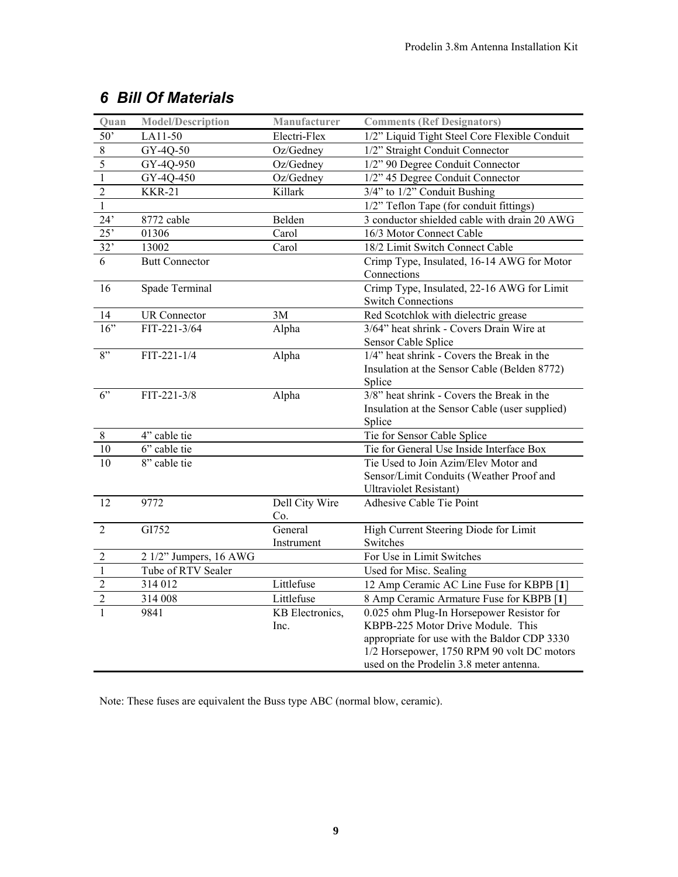| Quan           | <b>Model/Description</b>     | Manufacturer    | <b>Comments (Ref Designators)</b>              |
|----------------|------------------------------|-----------------|------------------------------------------------|
| 50'            | LA11-50                      | Electri-Flex    | 1/2" Liquid Tight Steel Core Flexible Conduit  |
| $\,8\,$        | GY-4Q-50                     | Oz/Gedney       | 1/2" Straight Conduit Connector                |
| $\overline{5}$ | GY-4Q-950                    | Oz/Gedney       | 1/2" 90 Degree Conduit Connector               |
| $\mathbf{1}$   | GY-4Q-450                    | Oz/Gedney       | 1/2" 45 Degree Conduit Connector               |
| $\overline{2}$ | <b>KKR-21</b>                | Killark         | 3/4" to 1/2" Conduit Bushing                   |
| $\mathbf{1}$   |                              |                 | 1/2" Teflon Tape (for conduit fittings)        |
| 24'            | 8772 cable                   | Belden          | 3 conductor shielded cable with drain 20 AWG   |
| 25'            | 01306                        | Carol           | 16/3 Motor Connect Cable                       |
| 32'            | 13002                        | Carol           | 18/2 Limit Switch Connect Cable                |
| 6              | <b>Butt Connector</b>        |                 | Crimp Type, Insulated, 16-14 AWG for Motor     |
|                |                              |                 | Connections                                    |
| 16             | Spade Terminal               |                 | Crimp Type, Insulated, 22-16 AWG for Limit     |
|                |                              |                 | <b>Switch Connections</b>                      |
| 14             | <b>UR</b> Connector          | 3M              | Red Scotchlok with dielectric grease           |
| 16"            | FIT-221-3/64                 | Alpha           | 3/64" heat shrink - Covers Drain Wire at       |
|                |                              |                 | Sensor Cable Splice                            |
| 8"             | FIT-221-1/4                  | Alpha           | 1/4" heat shrink - Covers the Break in the     |
|                |                              |                 | Insulation at the Sensor Cable (Belden 8772)   |
|                |                              |                 | Splice                                         |
| 6"             | FIT-221-3/8                  | Alpha           | $3/8$ " heat shrink - Covers the Break in the  |
|                |                              |                 | Insulation at the Sensor Cable (user supplied) |
| $8\,$          | 4" cable tie                 |                 | Splice<br>Tie for Sensor Cable Splice          |
|                |                              |                 | Tie for General Use Inside Interface Box       |
| 10<br>10       | 6" cable tie<br>8" cable tie |                 | Tie Used to Join Azim/Elev Motor and           |
|                |                              |                 | Sensor/Limit Conduits (Weather Proof and       |
|                |                              |                 | <b>Ultraviolet Resistant)</b>                  |
| 12             | 9772                         | Dell City Wire  | Adhesive Cable Tie Point                       |
|                |                              | Co.             |                                                |
| $\overline{2}$ | GI752                        | General         | High Current Steering Diode for Limit          |
|                |                              | Instrument      | Switches                                       |
| $\overline{2}$ | 2 1/2" Jumpers, 16 AWG       |                 | For Use in Limit Switches                      |
| $\mathbf{1}$   | Tube of RTV Sealer           |                 | Used for Misc. Sealing                         |
| $\overline{2}$ | 314 012                      | Littlefuse      | 12 Amp Ceramic AC Line Fuse for KBPB [1]       |
| $\overline{c}$ | 314 008                      | Littlefuse      | 8 Amp Ceramic Armature Fuse for KBPB [1]       |
| 1              | 9841                         | KB Electronics, | 0.025 ohm Plug-In Horsepower Resistor for      |
|                |                              | Inc.            | KBPB-225 Motor Drive Module. This              |
|                |                              |                 | appropriate for use with the Baldor CDP 3330   |
|                |                              |                 | 1/2 Horsepower, 1750 RPM 90 volt DC motors     |
|                |                              |                 | used on the Prodelin 3.8 meter antenna.        |

# *6 Bill Of Materials*

Note: These fuses are equivalent the Buss type ABC (normal blow, ceramic).